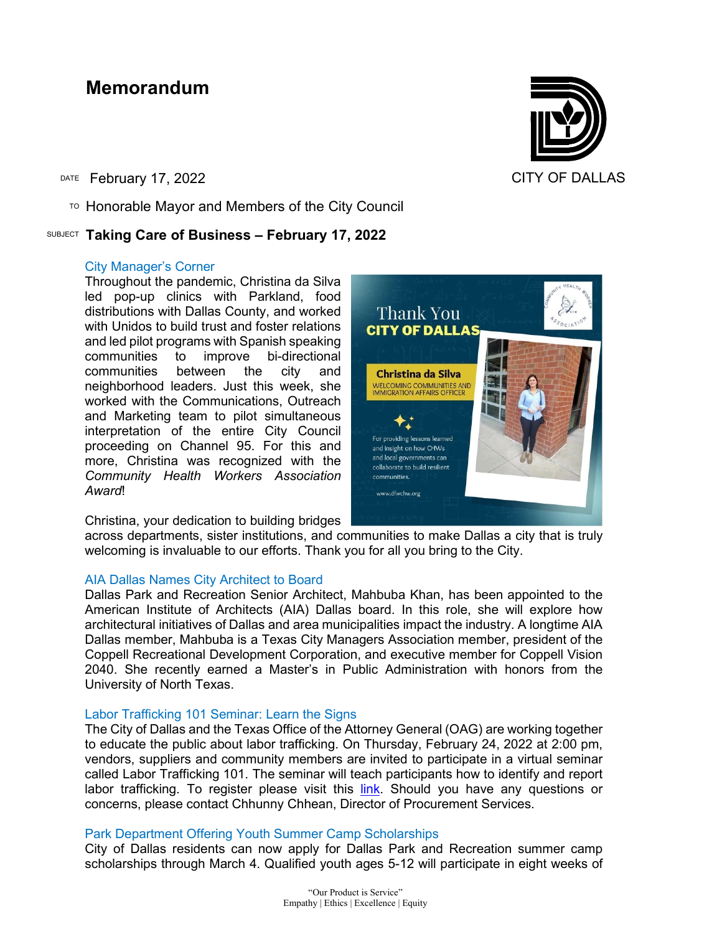### **Memorandum**

DATE February 17, 2022 **CITY OF DALLAS** 

 $\overline{P}$  Honorable Mayor and Members of the City Council

#### SUBJECT **Taking Care of Business – February 17, 2022**

#### City Manager's Corner

Throughout the pandemic, Christina da Silva led pop-up clinics with Parkland, food distributions with Dallas County, and worked with Unidos to build trust and foster relations and led pilot programs with Spanish speaking communities to improve bi-directional between the city and neighborhood leaders. Just this week, she worked with the Communications, Outreach and Marketing team to pilot simultaneous interpretation of the entire City Council proceeding on Channel 95. For this and more, Christina was recognized with the *Community Health Workers Association Award*!

Christina, your dedication to building bridges

For providing lessons learned and insight on how CHWs and local governments can collaborate to build resilient communities. www.dfwchw.org

**Thank You CITY OF DALLAS** 

Christina da Silva WELCOMING COMMUNITIES AND<br>IMMIGRATION AFFAIRS OFFICER

across departments, sister institutions, and communities to make Dallas a city that is truly welcoming is invaluable to our efforts. Thank you for all you bring to the City.

#### AIA Dallas Names City Architect to Board

Dallas Park and Recreation Senior Architect, Mahbuba Khan, has been appointed to the American Institute of Architects (AIA) Dallas board. In this role, she will explore how architectural initiatives of Dallas and area municipalities impact the industry. A longtime AIA Dallas member, Mahbuba is a Texas City Managers Association member, president of the Coppell Recreational Development Corporation, and executive member for Coppell Vision 2040. She recently earned a Master's in Public Administration with honors from the University of North Texas.

#### Labor Trafficking 101 Seminar: Learn the Signs

The City of Dallas and the Texas Office of the Attorney General (OAG) are working together to educate the public about labor trafficking. On Thursday, February 24, 2022 at 2:00 pm, vendors, suppliers and community members are invited to participate in a virtual seminar called Labor Trafficking 101. The seminar will teach participants how to identify and report labor trafficking. To register please visit this [link.](https://dallascityhall.com/calendar/Pages/Event-Details.aspx?EID=424&ETitle=%20Labor%20Trafficking%20101) Should you have any questions or concerns, please contact Chhunny Chhean, Director of Procurement Services.

#### Park Department Offering Youth Summer Camp Scholarships

City of Dallas residents can now apply for Dallas Park and Recreation summer camp scholarships through March 4. Qualified youth ages 5-12 will participate in eight weeks of



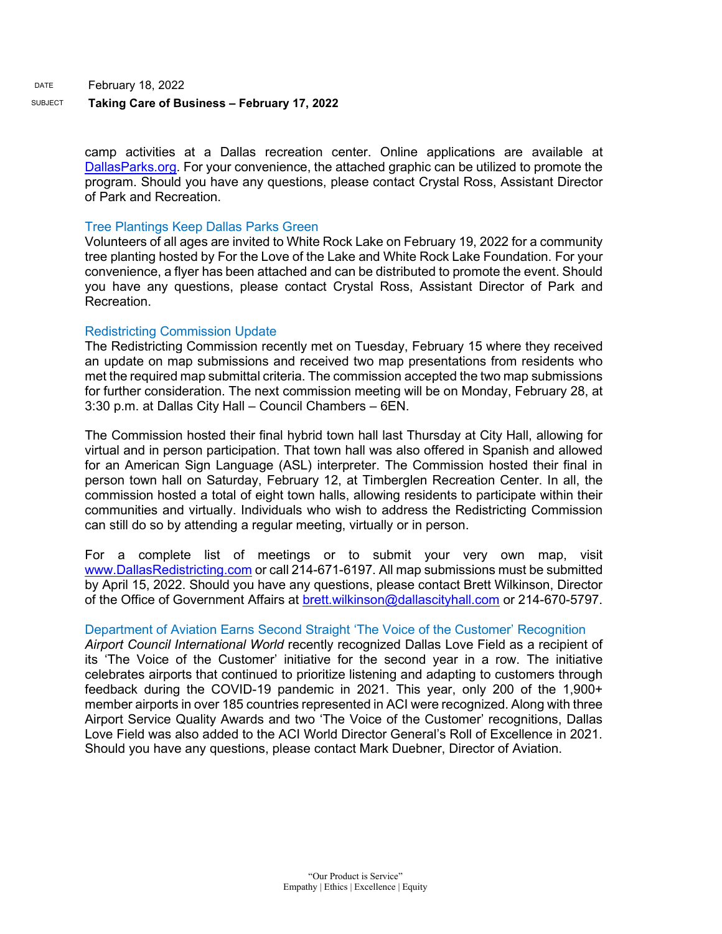DATE February 18, 2022

#### SUBJECT **Taking Care of Business – February 17, 2022**

camp activities at a Dallas recreation center. Online applications are available at [DallasParks.org.](http://www.dallasparks.org/) For your convenience, the attached graphic can be utilized to promote the program. Should you have any questions, please contact Crystal Ross, Assistant Director of Park and Recreation.

#### Tree Plantings Keep Dallas Parks Green

Volunteers of all ages are invited to White Rock Lake on February 19, 2022 for a community tree planting hosted by For the Love of the Lake and White Rock Lake Foundation. For your convenience, a flyer has been attached and can be distributed to promote the event. Should you have any questions, please contact Crystal Ross, Assistant Director of Park and Recreation.

#### Redistricting Commission Update

The Redistricting Commission recently met on Tuesday, February 15 where they received an update on map submissions and received two map presentations from residents who met the required map submittal criteria. The commission accepted the two map submissions for further consideration. The next commission meeting will be on Monday, February 28, at 3:30 p.m. at Dallas City Hall – Council Chambers – 6EN.

The Commission hosted their final hybrid town hall last Thursday at City Hall, allowing for virtual and in person participation. That town hall was also offered in Spanish and allowed for an American Sign Language (ASL) interpreter. The Commission hosted their final in person town hall on Saturday, February 12, at Timberglen Recreation Center. In all, the commission hosted a total of eight town halls, allowing residents to participate within their communities and virtually. Individuals who wish to address the Redistricting Commission can still do so by attending a regular meeting, virtually or in person.

For a complete list of meetings or to submit your very own map, visit [www.DallasRedistricting.com](https://gcc02.safelinks.protection.outlook.com/?url=http%3A%2F%2Fwww.dallasredistricting.com%2F&data=04%7C01%7Cc.gonzalezkurz%40dallascityhall.com%7Ccaf59a02fc4b46eb937e08d9f19e09ab%7C2935709ec10c4809a302852d369f8700%7C0%7C0%7C637806483334265884%7CUnknown%7CTWFpbGZsb3d8eyJWIjoiMC4wLjAwMDAiLCJQIjoiV2luMzIiLCJBTiI6Ik1haWwiLCJXVCI6Mn0%3D%7C3000&sdata=bRiwqTOqnHILexPa7lhBzLZ1IkT7yA7NApI7rwb77xQ%3D&reserved=0) or call 214-671-6197. All map submissions must be submitted by April 15, 2022. Should you have any questions, please contact Brett Wilkinson, Director of the Office of Government Affairs at [brett.wilkinson@dallascityhall.com](mailto:brett.wilkinson@dallascityhall.com) or 214-670-5797.

#### Department of Aviation Earns Second Straight 'The Voice of the Customer' Recognition

*Airport Council International World* recently recognized Dallas Love Field as a recipient of its 'The Voice of the Customer' initiative for the second year in a row. The initiative celebrates airports that continued to prioritize listening and adapting to customers through feedback during the COVID-19 pandemic in 2021. This year, only 200 of the 1,900+ member airports in over 185 countries represented in ACI were recognized. Along with three Airport Service Quality Awards and two 'The Voice of the Customer' recognitions, Dallas Love Field was also added to the ACI World Director General's Roll of Excellence in 2021. Should you have any questions, please contact Mark Duebner, Director of Aviation.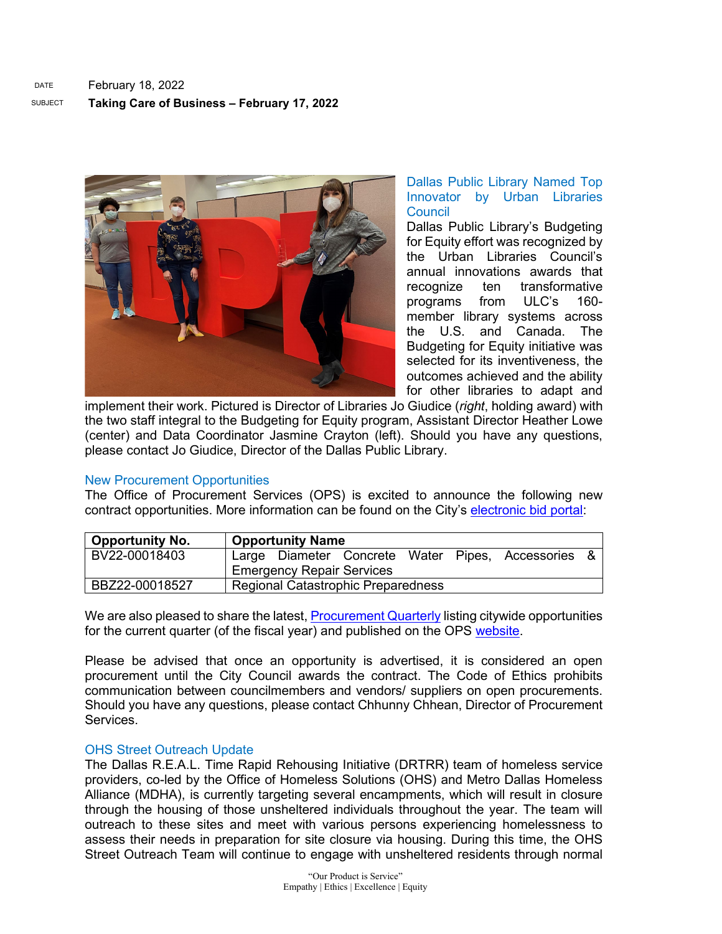

#### Dallas Public Library Named Top Innovator by Urban Libraries **Council**

Dallas Public Library's Budgeting for Equity effort was recognized by the Urban Libraries Council's annual innovations awards that recognize ten transformative programs from ULC's 160 member library systems across the U.S. and Canada. The Budgeting for Equity initiative was selected for its inventiveness, the outcomes achieved and the ability for other libraries to adapt and

implement their work. Pictured is Director of Libraries Jo Giudice (*right*, holding award) with the two staff integral to the Budgeting for Equity program, Assistant Director Heather Lowe (center) and Data Coordinator Jasmine Crayton (left). Should you have any questions, please contact Jo Giudice, Director of the Dallas Public Library.

#### New Procurement Opportunities

The Office of Procurement Services (OPS) is excited to announce the following new contract opportunities. More information can be found on the City's [electronic bid portal:](https://gcc02.safelinks.protection.outlook.com/?url=https%3A%2F%2Fdallascityhall.bonfirehub.com%2Fportal%2F%3Ftab%3DopenOpportunities&data=04%7C01%7COPSAdmin%40dallascityhall.com%7Cf8e151d6dfb545f0627108d9eda6c58c%7C2935709ec10c4809a302852d369f8700%7C0%7C0%7C637802123674822479%7CUnknown%7CTWFpbGZsb3d8eyJWIjoiMC4wLjAwMDAiLCJQIjoiV2luMzIiLCJBTiI6Ik1haWwiLCJXVCI6Mn0%3D%7C3000&sdata=UoT%2BKe%2FdIxDRTcYn4sOfommhiMJJJvi3V15ifr0yIrA%3D&reserved=0)

| <b>Opportunity No.</b> | <b>Opportunity Name</b>                            |  |
|------------------------|----------------------------------------------------|--|
| BV22-00018403          | Large Diameter Concrete Water Pipes, Accessories & |  |
|                        | <b>Emergency Repair Services</b>                   |  |
| BBZ22-00018527         | <b>Regional Catastrophic Preparedness</b>          |  |

We are also pleased to share the latest[, Procurement Quarterly](https://gcc02.safelinks.protection.outlook.com/?url=https%3A%2F%2Fdallascityhall.com%2Fdepartments%2Fprocurement%2FPublishingImages%2FPages%2Fdefault%2FProcurement%2520Quarterly%2520Forecast%2520FY22%2520Q2.pdf&data=04%7C01%7COPSAdmin%40dallascityhall.com%7Cf8e151d6dfb545f0627108d9eda6c58c%7C2935709ec10c4809a302852d369f8700%7C0%7C0%7C637802123674822479%7CUnknown%7CTWFpbGZsb3d8eyJWIjoiMC4wLjAwMDAiLCJQIjoiV2luMzIiLCJBTiI6Ik1haWwiLCJXVCI6Mn0%3D%7C3000&sdata=0Q8YNgjPrEdwXuVb5kIHMKRyuaPtE84WELmykAMpmfw%3D&reserved=0) listing citywide opportunities for the current quarter (of the fiscal year) and published on the OPS [website.](https://gcc02.safelinks.protection.outlook.com/?url=https%3A%2F%2Fdallascityhall.com%2Fdepartments%2Fprocurement%2FPages%2Fdefault.aspx&data=04%7C01%7COPSAdmin%40dallascityhall.com%7Cf8e151d6dfb545f0627108d9eda6c58c%7C2935709ec10c4809a302852d369f8700%7C0%7C0%7C637802123674822479%7CUnknown%7CTWFpbGZsb3d8eyJWIjoiMC4wLjAwMDAiLCJQIjoiV2luMzIiLCJBTiI6Ik1haWwiLCJXVCI6Mn0%3D%7C3000&sdata=8n2Di1WmF06E62wJbgAsXJ6bkAjdKsDcTWLEbzBmZVk%3D&reserved=0)

Please be advised that once an opportunity is advertised, it is considered an open procurement until the City Council awards the contract. The Code of Ethics prohibits communication between councilmembers and vendors/ suppliers on open procurements. Should you have any questions, please contact Chhunny Chhean, Director of Procurement **Services** 

#### OHS Street Outreach Update

The Dallas R.E.A.L. Time Rapid Rehousing Initiative (DRTRR) team of homeless service providers, co-led by the Office of Homeless Solutions (OHS) and Metro Dallas Homeless Alliance (MDHA), is currently targeting several encampments, which will result in closure through the housing of those unsheltered individuals throughout the year. The team will outreach to these sites and meet with various persons experiencing homelessness to assess their needs in preparation for site closure via housing. During this time, the OHS Street Outreach Team will continue to engage with unsheltered residents through normal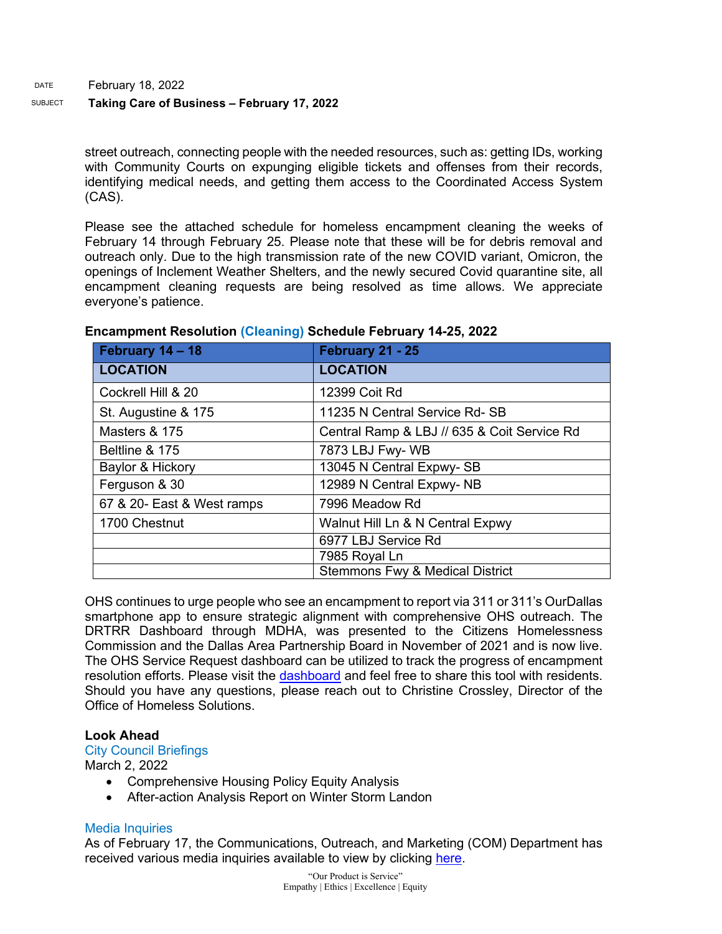#### SUBJECT **Taking Care of Business – February 17, 2022**

street outreach, connecting people with the needed resources, such as: getting IDs, working with Community Courts on expunging eligible tickets and offenses from their records, identifying medical needs, and getting them access to the Coordinated Access System (CAS).

Please see the attached schedule for homeless encampment cleaning the weeks of February 14 through February 25. Please note that these will be for debris removal and outreach only. Due to the high transmission rate of the new COVID variant, Omicron, the openings of Inclement Weather Shelters, and the newly secured Covid quarantine site, all encampment cleaning requests are being resolved as time allows. We appreciate everyone's patience.

| February 14 - 18           | February 21 - 25                            |
|----------------------------|---------------------------------------------|
| <b>LOCATION</b>            | <b>LOCATION</b>                             |
| Cockrell Hill & 20         | 12399 Coit Rd                               |
| St. Augustine & 175        | 11235 N Central Service Rd-SB               |
| Masters & 175              | Central Ramp & LBJ // 635 & Coit Service Rd |
| Beltline & 175             | 7873 LBJ Fwy-WB                             |
| Baylor & Hickory           | 13045 N Central Expwy-SB                    |
| Ferguson & 30              | 12989 N Central Expwy-NB                    |
| 67 & 20- East & West ramps | 7996 Meadow Rd                              |
| 1700 Chestnut              | Walnut Hill Ln & N Central Expwy            |
|                            | 6977 LBJ Service Rd                         |
|                            | 7985 Royal Ln                               |
|                            | <b>Stemmons Fwy &amp; Medical District</b>  |

#### **Encampment Resolution (Cleaning) Schedule February 14-25, 2022**

OHS continues to urge people who see an encampment to report via 311 or 311's OurDallas smartphone app to ensure strategic alignment with comprehensive OHS outreach. The DRTRR Dashboard through MDHA, was presented to the Citizens Homelessness Commission and the Dallas Area Partnership Board in November of 2021 and is now live. The OHS Service Request dashboard can be utilized to track the progress of encampment resolution efforts. Please visit the [dashboard](https://gcc02.safelinks.protection.outlook.com/?url=https%3A%2F%2Fdallasgis.maps.arcgis.com%2Fapps%2Fopsdashboard%2Findex.html%23%2Fccd41f0d795f407a94ae17e2c27bf073&data=04%7C01%7CAmanda.Voigt%40dallascityhall.com%7C233f59f2284d4e1e889c08d9a94b7cdf%7C2935709ec10c4809a302852d369f8700%7C0%7C0%7C637726963939462025%7CUnknown%7CTWFpbGZsb3d8eyJWIjoiMC4wLjAwMDAiLCJQIjoiV2luMzIiLCJBTiI6Ik1haWwiLCJXVCI6Mn0%3D%7C3000&sdata=3mXj5FFXAaQ5gm0LtJvJ%2BhMNRJuWkhHc94WnkCk6QDc%3D&reserved=0) and feel free to share this tool with residents. Should you have any questions, please reach out to Christine Crossley, Director of the Office of Homeless Solutions.

#### **Look Ahead**

#### City Council Briefings

March 2, 2022

- Comprehensive Housing Policy Equity Analysis
- After-action Analysis Report on Winter Storm Landon

#### Media Inquiries

As of February 17, the Communications, Outreach, and Marketing (COM) Department has received various media inquiries available to view by clicking [here.](https://gcc02.safelinks.protection.outlook.com/ap/w-59584e83/?url=https%3A%2F%2Fdallastxgov.sharepoint.com%2F%3Aw%3A%2Fs%2FPIOTeam%2FEWopTMPfpjZCjQm_YGNRQPQBXA_t4hJtLN864pzbsjtNmg%3Fe%3DkoQ4D4&data=04%7C01%7Cgenesis.gavino%40dallascityhall.com%7C7fb5d3e7d52043ad1af208d9f243a027%7C2935709ec10c4809a302852d369f8700%7C0%7C0%7C637807194523658494%7CUnknown%7CTWFpbGZsb3d8eyJWIjoiMC4wLjAwMDAiLCJQIjoiV2luMzIiLCJBTiI6Ik1haWwiLCJXVCI6Mn0%3D%7C3000&sdata=Qeojn74tjFklAYb1CTsLDIjmVxNlWcAo7QqwMv0hlYo%3D&reserved=0)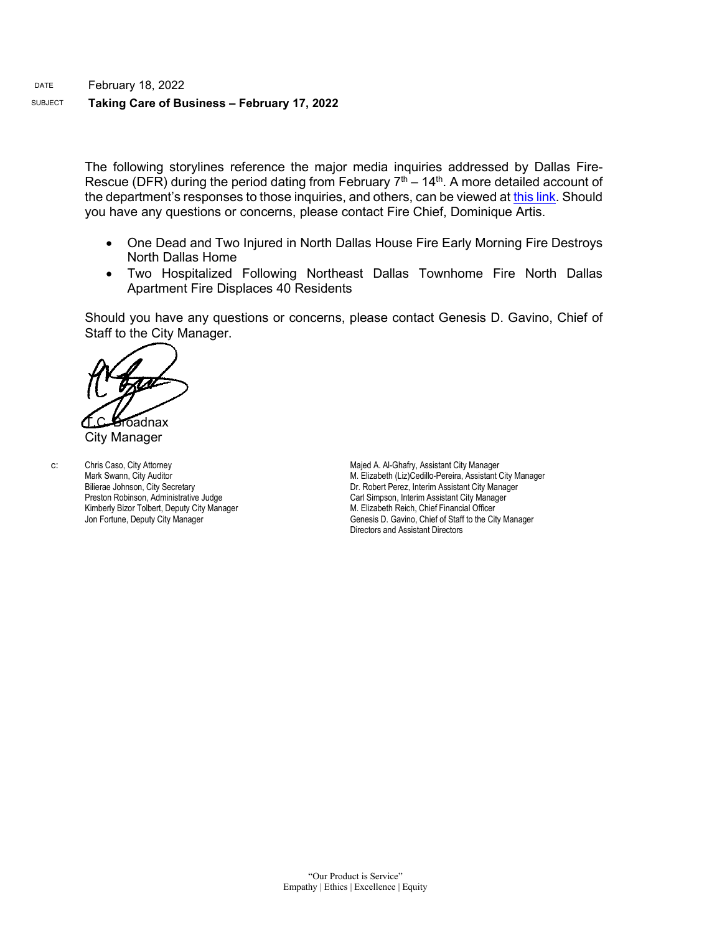#### DATE February 18, 2022 SUBJECT **Taking Care of Business – February 17, 2022**

The following storylines reference the major media inquiries addressed by Dallas Fire-Rescue (DFR) during the period dating from February  $7<sup>th</sup> - 14<sup>th</sup>$ . A more detailed account of the department's responses to those inquiries, and others, can be viewed a[t this link.](https://gcc02.safelinks.protection.outlook.com/ap/w-59584e83/?url=https%3A%2F%2Fdallastxgov-my.sharepoint.com%2F%3Aw%3A%2Fg%2Fpersonal%2Fjason_evans_dallascityhall_com%2FEYKI9oFHXeVOo7-bT_fSf0QBYrP5M6xrb2bNs4-CRoLsgA%3Fe%3DOxL6lm&data=04%7C01%7Cjason.evans%40dallascityhall.com%7C51b1003e5abe40ec964508d9f08eafd6%7C2935709ec10c4809a302852d369f8700%7C0%7C0%7C637805317882764066%7CUnknown%7CTWFpbGZsb3d8eyJWIjoiMC4wLjAwMDAiLCJQIjoiV2luMzIiLCJBTiI6Ik1haWwiLCJXVCI6Mn0%3D%7C3000&sdata=2Dv9FIm6sQUULmjd66GPzfQPfCNSdztQJ9y0BMuKZp4%3D&reserved=0) Should you have any questions or concerns, please contact Fire Chief, Dominique Artis.

- One Dead and Two Injured in North Dallas House Fire Early Morning Fire Destroys North Dallas Home
- Two Hospitalized Following Northeast Dallas Townhome Fire North Dallas Apartment Fire Displaces 40 Residents

Should you have any questions or concerns, please contact Genesis D. Gavino, Chief of Staff to the City Manager.

Toadnax

City Manager

c: Chris Caso, City Attorney Mark Swann, City Auditor Bilierae Johnson, City Secretary Preston Robinson, Administrative Judge Kimberly Bizor Tolbert, Deputy City Manager Jon Fortune, Deputy City Manager

Majed A. Al-Ghafry, Assistant City Manager M. Elizabeth (Liz)Cedillo-Pereira, Assistant City Manager Dr. Robert Perez, Interim Assistant City Manager Carl Simpson, Interim Assistant City Manager M. Elizabeth Reich, Chief Financial Officer Genesis D. Gavino, Chief of Staff to the City Manager Directors and Assistant Directors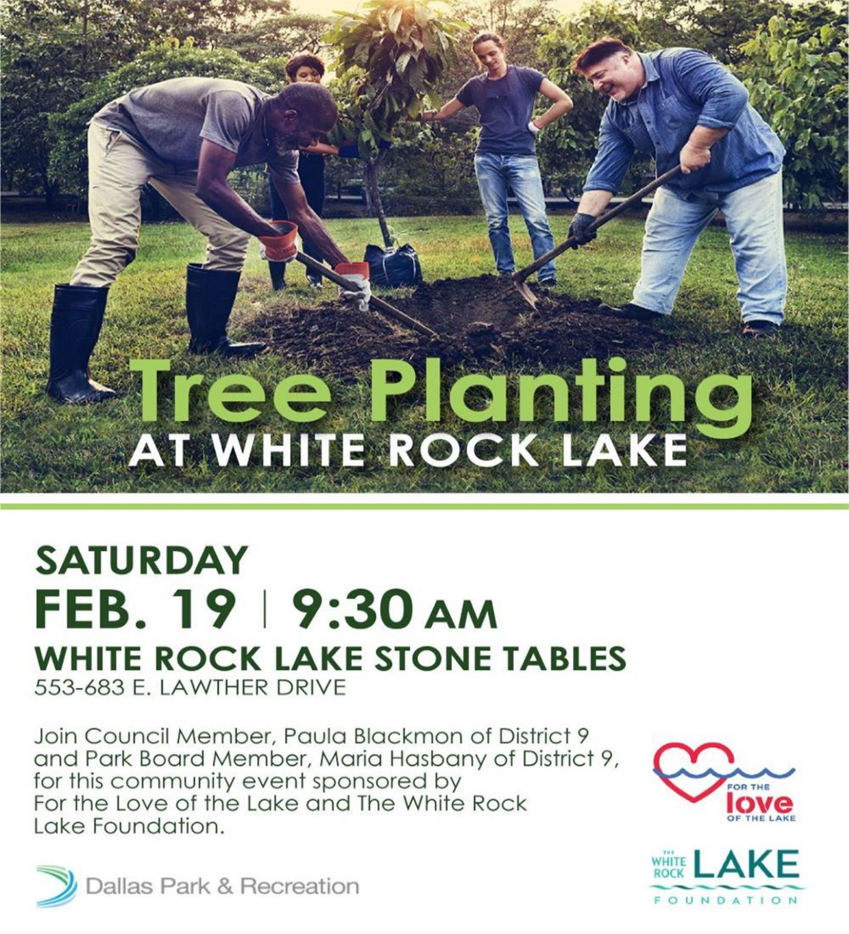# **Tree Planting**

#### **SATURDAY** FEB. 19 | 9:30 AM **WHITE ROCK LAKE STONE TABLES** 553-683 E. LAWTHER DRIVE

Join Council Member, Paula Blackmon of District 9 and Park Board Member, Maria Hasbany of District 9, for this community event sponsored by For the Love of the Lake and The White Rock Lake Foundation